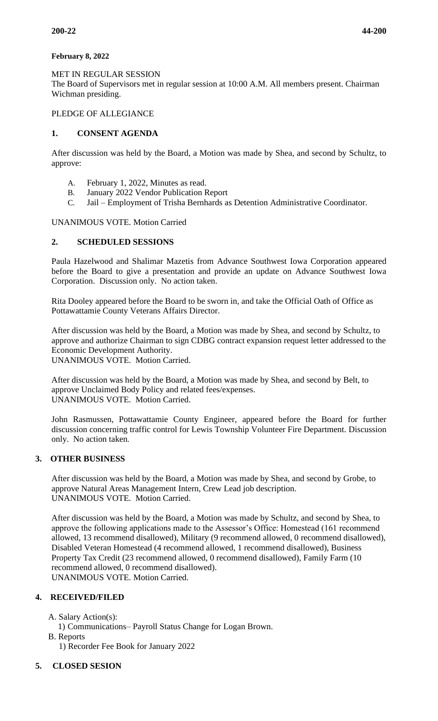## **February 8, 2022**

MET IN REGULAR SESSION

The Board of Supervisors met in regular session at 10:00 A.M. All members present. Chairman Wichman presiding.

## PLEDGE OF ALLEGIANCE

## **1. CONSENT AGENDA**

After discussion was held by the Board, a Motion was made by Shea, and second by Schultz, to approve:

- A. February 1, 2022, Minutes as read.
- B. January 2022 Vendor Publication Report
- C. Jail Employment of Trisha Bernhards as Detention Administrative Coordinator.

## UNANIMOUS VOTE. Motion Carried

# **2. SCHEDULED SESSIONS**

Paula Hazelwood and Shalimar Mazetis from Advance Southwest Iowa Corporation appeared before the Board to give a presentation and provide an update on Advance Southwest Iowa Corporation. Discussion only. No action taken.

Rita Dooley appeared before the Board to be sworn in, and take the Official Oath of Office as Pottawattamie County Veterans Affairs Director.

After discussion was held by the Board, a Motion was made by Shea, and second by Schultz, to approve and authorize Chairman to sign CDBG contract expansion request letter addressed to the Economic Development Authority. UNANIMOUS VOTE. Motion Carried.

After discussion was held by the Board, a Motion was made by Shea, and second by Belt, to approve Unclaimed Body Policy and related fees/expenses. UNANIMOUS VOTE. Motion Carried.

John Rasmussen, Pottawattamie County Engineer, appeared before the Board for further discussion concerning traffic control for Lewis Township Volunteer Fire Department. Discussion only. No action taken.

#### **3. OTHER BUSINESS**

After discussion was held by the Board, a Motion was made by Shea, and second by Grobe, to approve Natural Areas Management Intern, Crew Lead job description. UNANIMOUS VOTE. Motion Carried.

After discussion was held by the Board, a Motion was made by Schultz, and second by Shea, to approve the following applications made to the Assessor's Office: Homestead (161 recommend allowed, 13 recommend disallowed), Military (9 recommend allowed, 0 recommend disallowed), Disabled Veteran Homestead (4 recommend allowed, 1 recommend disallowed), Business Property Tax Credit (23 recommend allowed, 0 recommend disallowed), Family Farm (10 recommend allowed, 0 recommend disallowed). UNANIMOUS VOTE. Motion Carried.

# **4. RECEIVED/FILED**

A. Salary Action(s):

- 1) Communications– Payroll Status Change for Logan Brown.
- B. Reports

1) Recorder Fee Book for January 2022

# **5. CLOSED SESION**